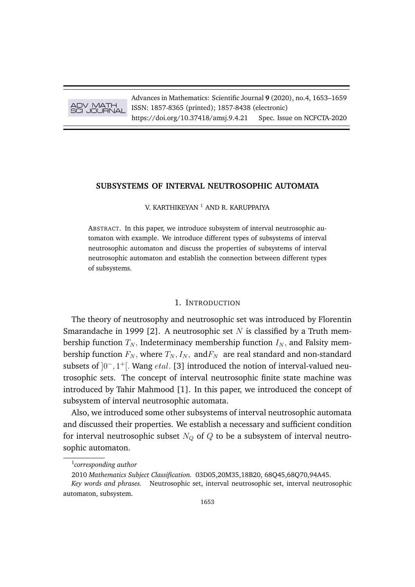# ADV MATH SCI JOURNAL

Advances in Mathematics: Scientific Journal **9** (2020), no.4, 1653–1659 ISSN: 1857-8365 (printed); 1857-8438 (electronic) https://doi.org/10.37418/amsj.9.4.21 Spec. Issue on NCFCTA-2020

# **SUBSYSTEMS OF INTERVAL NEUTROSOPHIC AUTOMATA**

V. KARTHIKEYAN<sup>1</sup> AND R. KARUPPAIYA

ABSTRACT. In this paper, we introduce subsystem of interval neutrosophic automaton with example. We introduce different types of subsystems of interval neutrosophic automaton and discuss the properties of subsystems of interval neutrosophic automaton and establish the connection between different types of subsystems.

#### 1. INTRODUCTION

The theory of neutrosophy and neutrosophic set was introduced by Florentin Smarandache in 1999 [2]. A neutrosophic set N is classified by a Truth membership function  $T_N$ , Indeterminacy membership function  $I_N$ , and Falsity membership function  $F_N$ , where  $T_N$ ,  $I_N$ , and  $F_N$  are real standard and non-standard subsets of  $]0^-, 1^+[$ . Wang *etal*. [3] introduced the notion of interval-valued neutrosophic sets. The concept of interval neutrosophic finite state machine was introduced by Tahir Mahmood [1]. In this paper, we introduced the concept of subsystem of interval neutrosophic automata.

Also, we introduced some other subsystems of interval neutrosophic automata and discussed their properties. We establish a necessary and sufficient condition for interval neutrosophic subset  $N_Q$  of  $Q$  to be a subsystem of interval neutrosophic automaton.

<sup>1</sup> *corresponding author*

<sup>2010</sup> *Mathematics Subject Classification.* 03D05,20M35,18B20, 68Q45,68Q70,94A45.

*Key words and phrases.* Neutrosophic set, interval neutrosophic set, interval neutrosophic automaton, subsystem.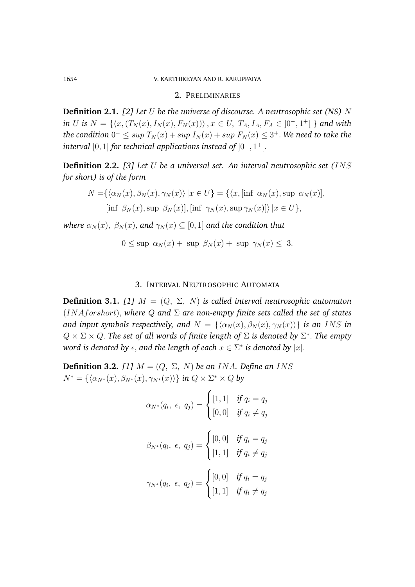#### 1654 V. KARTHIKEYAN AND R. KARUPPAIYA

#### 2. PRELIMINARIES

**Definition 2.1.** *[2] Let* U *be the universe of discourse. A neutrosophic set (NS)* N *in U is*  $N = \{ (x, (T_N(x), I_N(x), F_N(x))) \}, x \in U, T_A, I_A, F_A \in ]0^-, 1^+] \}$  and with  $\Delta t$ he condition  $0^- \leq \sup T_N(x) + \sup I_N(x) + \sup F_N(x) \leq 3^+.$  We need to take the *interval* [0, 1] *for technical applications instead of* ]0<sup>−</sup>, 1 <sup>+</sup>[.

**Definition 2.2.** *[3] Let* U *be a universal set. An interval neutrosophic set (*INS *for short) is of the form*

$$
N = \{ \langle \alpha_N(x), \beta_N(x), \gamma_N(x) \rangle \mid x \in U \} = \{ \langle x, [\inf \alpha_N(x), \sup \alpha_N(x)],
$$
  
[inf  $\beta_N(x), \sup \beta_N(x) \mid$ , [inf  $\gamma_N(x), \sup \gamma_N(x) \mid$   $|x \in U \},$ 

*where*  $\alpha_N(x)$ ,  $\beta_N(x)$ , and  $\gamma_N(x) \subseteq [0, 1]$  and the condition that

$$
0 \le \sup \alpha_N(x) + \sup \beta_N(x) + \sup \gamma_N(x) \le 3.
$$

## 3. INTERVAL NEUTROSOPHIC AUTOMATA

**Definition 3.1.** *[1]*  $M = (Q, \Sigma, N)$  *is called interval neutrosophic automaton* (INAforshort), *where* Q *and* Σ *are non-empty finite sets called the set of states and input symbols respectively, and*  $N = {\alpha_N(x), \beta_N(x), \gamma_N(x)}$  *is an INS in*  $Q \times \Sigma \times Q$ . The set of all words of finite length of  $\Sigma$  is denoted by  $\Sigma^*$ . The empty  $w$ ord is denoted by  $\epsilon$ , and the length of each  $x\in \Sigma^*$  is denoted by  $|x|.$ 

**Definition 3.2.** [1]  $M = (Q, \Sigma, N)$  *be an INA. Define an INS*  $N^* = \{\langle \alpha_{N^*}(x), \beta_{N^*}(x), \gamma_{N^*}(x) \rangle\}$  *in*  $Q \times \Sigma^* \times Q$  *by* 

$$
\alpha_{N^*}(q_i, \epsilon, q_j) = \begin{cases} [1, 1] & \text{if } q_i = q_j \\ [0, 0] & \text{if } q_i \neq q_j \end{cases}
$$

$$
\beta_{N^*}(q_i, \epsilon, q_j) = \begin{cases} [0, 0] & \text{if } q_i = q_j \\ [1, 1] & \text{if } q_i \neq q_j \end{cases}
$$

$$
\gamma_{N^*}(q_i, \epsilon, q_j) = \begin{cases} [0, 0] & \text{if } q_i = q_j \\ [1, 1] & \text{if } q_i \neq q_j \end{cases}
$$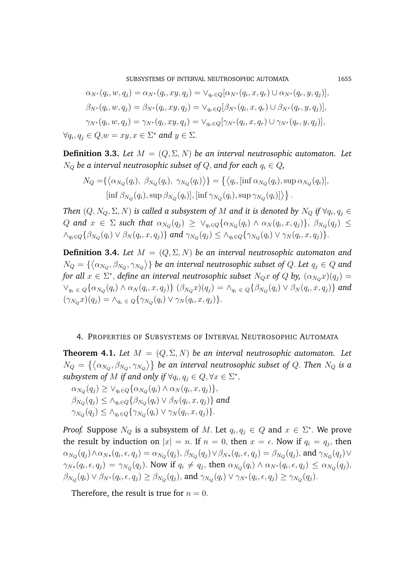SUBSYSTEMS OF INTERVAL NEUTROSOPHIC AUTOMATA 1655

$$
\alpha_{N^*}(q_i, w, q_j) = \alpha_{N^*}(q_i, xy, q_j) = \vee_{q_r \in Q} [\alpha_{N^*}(q_i, x, q_r) \cup \alpha_{N^*}(q_r, y, q_j)],
$$
  
\n
$$
\beta_{N^*}(q_i, w, q_j) = \beta_{N^*}(q_i, xy, q_j) = \vee_{q_r \in Q} [\beta_{N^*}(q_i, x, q_r) \cup \beta_{N^*}(q_r, y, q_j)],
$$
  
\n
$$
\gamma_{N^*}(q_i, w, q_j) = \gamma_{N^*}(q_i, xy, q_j) = \vee_{q_r \in Q} [\gamma_{N^*}(q_i, x, q_r) \cup \gamma_{N^*}(q_r, y, q_j)],
$$
  
\n
$$
\forall q_i, q_j \in Q, w = xy, x \in \Sigma^* \text{ and } y \in \Sigma.
$$

**Definition 3.3.** Let  $M = (Q, \Sigma, N)$  be an interval neutrosophic automaton. Let  $N_Q$  be a interval neutrosophic subset of Q, and for each  $q_i \in Q$ ,

$$
N_Q = \{ \langle \alpha_{N_Q}(q_i), \ \beta_{N_Q}(q_i), \ \gamma_{N_Q}(q_i) \rangle \} = \{ \langle q_i, [\inf \alpha_{N_Q}(q_i), \sup \alpha_{N_Q}(q_i)],
$$
  

$$
[\inf \beta_{N_Q}(q_i), \sup \beta_{N_Q}(q_i)], [\inf \gamma_{N_Q}(q_i), \sup \gamma_{N_Q}(q_i)] \rangle \}.
$$

*Then*  $(Q, N_Q, \Sigma, N)$  *is called a subsystem of*  $M$  *and it is denoted by*  $N_Q$  *if*  $\forall q_i, q_j \in$  $Q$  and  $x \in \Sigma$  such that  $\alpha_{N_Q}(q_j) \geq \vee_{q_i \in Q} \{\alpha_{N_Q}(q_i) \wedge \alpha_N(q_i,x,q_j)\},$   $\beta_{N_Q}(q_j) \leq$  $\wedge_{q_i \in Q} \{\beta_{N_Q}(q_i) \vee \beta_N(q_i, x, q_j)\}\$ and  $\gamma_{N_Q}(q_j) \leq \wedge_{q_i \in Q} \{\gamma_{N_Q}(q_i) \vee \gamma_N(q_i, x, q_j)\}.$ 

**Definition 3.4.** *Let*  $M = (Q, \Sigma, N)$  *be an interval neutrosophic automaton and*  $N_Q=\{\left<\alpha_{N_Q},\beta_{N_Q},\gamma_{N_Q}\right>\}$  be an interval neutrosophic subset of  $Q.$  Let  $q_j\in Q$  and for all  $x \in \Sigma^*,$  define an interval neutrosophic subset  $N_Q x$  of  $Q$  by,  $(\alpha_{N_Q} x)(q_j) =$  $\vee_{q_i} \in Q\{\alpha_{N_Q}(q_i) \wedge \alpha_N(q_i,x,q_j)\}\ (\beta_{N_Q}x)(q_j) = \wedge_{q_i} \in Q\{\beta_{N_Q}(q_i) \vee \beta_N(q_i,x,q_j)\}\$ and  $(\gamma_{N_Q} x)(q_j) = \wedge_{q_i \in Q} \{\gamma_{N_Q}(q_i) \vee \gamma_N(q_i, x, q_j)\}.$ 

### 4. PROPERTIES OF SUBSYSTEMS OF INTERVAL NEUTROSOPHIC AUTOMATA

**Theorem 4.1.** Let  $M = (Q, \Sigma, N)$  be an interval neutrosophic automaton. Let  $N_Q\,=\,\left\{\left<\alpha_{N_Q},\beta_{N_Q},\gamma_{N_Q}\right>\right\}$  be an interval neutrosophic subset of  $Q.$  Then  $N_Q$  is a subsystem of M if and only if  $\forall q_i, q_j \in Q, \forall x \in \Sigma^*$ ,

 $\alpha_{N_Q}(q_j) \geq \vee_{q_i \in Q} \{ \alpha_{N_Q}(q_i) \wedge \alpha_N(q_i, x, q_j) \},$  $\beta_{N_Q}(q_j) \leq \wedge_{q_i \in Q} \{ \beta_{N_Q}(q_i) \vee \beta_{N}(q_i,x,q_j) \}$  and  $\gamma_{N_Q}(q_j) \leq \wedge_{q_i \in Q} \{\gamma_{N_Q}(q_i) \vee \gamma_N(q_i, x, q_j)\}.$ 

*Proof.* Suppose  $N_Q$  is a subsystem of M. Let  $q_i, q_j \in Q$  and  $x \in \Sigma^*$ . We prove the result by induction on  $|x| = n$ . If  $n = 0$ , then  $x = \epsilon$ . Now if  $q_i = q_j$ , then  $\alpha_{N_Q}(q_j) \wedge \alpha_{N*}(q_i,\epsilon,q_j) = \alpha_{N_Q}(q_j),$   $\beta_{N_Q}(q_j) \vee \beta_{N*}(q_i,\epsilon,q_j) = \beta_{N_Q}(q_j),$  and  $\gamma_{N_Q}(q_j) \vee$  $\gamma_{N*}(q_i,\epsilon,q_j) = \gamma_{N_Q}(q_j)$ . Now if  $q_i \neq q_j$ , then  $\alpha_{N_Q}(q_i) \wedge \alpha_{N*}(q_i,\epsilon,q_j) \leq \alpha_{N_Q}(q_j)$ ,  $\beta_{N_Q}(q_i) \vee \beta_{N^*}(q_i, \epsilon, q_j) \geq \beta_{N_Q}(q_j)$ , and  $\gamma_{N_Q}(q_i) \vee \gamma_{N^*}(q_i, \epsilon, q_j) \geq \gamma_{N_Q}(q_j)$ .

Therefore, the result is true for  $n = 0$ .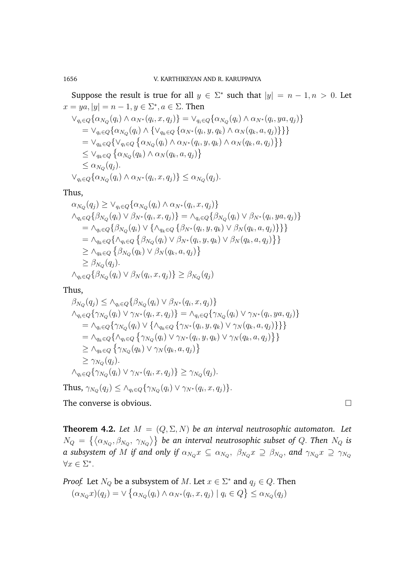Suppose the result is true for all  $y \in \Sigma^*$  such that  $|y| = n - 1, n > 0$ . Let  $x = ya, |y| = n - 1, y \in \Sigma^*, a \in \Sigma$ . Then  $\vee_{q_i \in Q} \{ \alpha_{N_Q}(q_i) \wedge \alpha_{N^*}(q_i, x, q_j) \} = \vee_{q_i \in Q} \{ \alpha_{N_Q}(q_i) \wedge \alpha_{N^*}(q_i, ya, q_j) \}$  $= \vee_{q_i \in Q} \{ \alpha_{N_Q}(q_i) \wedge \{ \vee_{q_k \in Q} \{ \alpha_{N^*}(q_i, y, q_k) \wedge \alpha_{N}(q_k, a, q_j) \} \} \}$  $= \vee_{q_k \in Q} \{ \vee_{q_i \in Q} \{ \alpha_{N_Q}(q_i) \wedge \alpha_{N^*}(q_i, y, q_k) \wedge \alpha_{N}(q_k, a, q_j) \} \}$  $\leq \vee_{q_k \in Q} \left\{ \alpha_{N_Q}(q_k) \wedge \alpha_N(q_k, a, q_j) \right\}$  $\leq \alpha_{N_Q}(q_j).$  $\vee_{q_i \in Q} \{ \alpha_{N_Q}(q_i) \wedge \alpha_{N^*}(q_i, x, q_j) \} \leq \alpha_{N_Q}(q_j).$ 

Thus,

$$
\alpha_{N_Q}(q_j) \geq \vee_{q_i \in Q} {\alpha_{N_Q}(q_i) \wedge \alpha_{N^*}(q_i, x, q_j)}
$$
  
\n
$$
\wedge_{q_i \in Q} {\beta_{N_Q}(q_i) \vee \beta_{N^*}(q_i, x, q_j)} = \wedge_{q_i \in Q} {\beta_{N_Q}(q_i) \vee \beta_{N^*}(q_i, ya, q_j)}
$$
  
\n
$$
= \wedge_{q_i \in Q} {\beta_{N_Q}(q_i) \vee {\alpha_{q_i \in Q} \{\beta_{N^*}(q_i, y, q_k) \vee \beta_N(q_k, a, q_j)\}}}
$$
  
\n
$$
= \wedge_{q_k \in Q} {\alpha_{q_i \in Q} \{\beta_{N_Q}(q_i) \vee \beta_{N^*}(q_i, y, q_k) \vee \beta_N(q_k, a, q_j)\}}
$$
  
\n
$$
\geq \wedge_{q_k \in Q} {\beta_{N_Q}(q_k) \vee \beta_N(q_k, a, q_j)}
$$
  
\n
$$
\geq \beta_{N_Q}(q_j).
$$
  
\n
$$
\wedge_{q_i \in Q} {\beta_{N_Q}(q_i) \vee \beta_N(q_i, x, q_j)} \geq \beta_{N_Q}(q_j)
$$

Thus,

$$
\beta_{N_Q}(q_j) \leq \lambda_{q_i \in Q} \{\beta_{N_Q}(q_i) \vee \beta_{N^*}(q_i, x, q_j)\}\
$$
  
\n
$$
\Lambda_{q_i \in Q} \{\gamma_{N_Q}(q_i) \vee \gamma_{N^*}(q_i, x, q_j)\} = \Lambda_{q_i \in Q} \{\gamma_{N_Q}(q_i) \vee \gamma_{N^*}(q_i, ya, q_j)\}\
$$
  
\n
$$
= \Lambda_{q_i \in Q} \{\gamma_{N_Q}(q_i) \vee \{\Lambda_{q_k \in Q} \{\gamma_{N^*}(q_i, y, q_k) \vee \gamma_N(q_k, a, q_j)\}\}\}\
$$
  
\n
$$
= \Lambda_{q_k \in Q} \{\Lambda_{q_i \in Q} \{\gamma_{N_Q}(q_i) \vee \gamma_{N^*}(q_i, y, q_k) \vee \gamma_N(q_k, a, q_j)\}\}\
$$
  
\n
$$
\geq \Lambda_{q_k \in Q} \{\gamma_{N_Q}(q_k) \vee \gamma_N(q_k, a, q_j)\}\
$$
  
\n
$$
\geq \gamma_{N_Q}(q_j).
$$
  
\n
$$
\Lambda_{q_i \in Q} \{\gamma_{N_Q}(q_i) \vee \gamma_{N^*}(q_i, x, q_j)\} \geq \gamma_{N_Q}(q_j).
$$

Thus,  $\gamma_{N_Q}(q_j) \leq \wedge_{q_i \in Q} {\gamma_{N_Q}(q_i) \vee \gamma_{N^*}(q_i, x, q_j)}$ .

The converse is obvious.

**Theorem 4.2.** Let  $M = (Q, \Sigma, N)$  be an interval neutrosophic automaton. Let  $N_Q\,=\,\left\{\left\langle \alpha_{N_Q},\beta_{N_Q},\;\gamma_{N_Q}\right\rangle\right\}$  be an interval neutrosophic subset of  $Q.$  Then  $N_Q$  is  $a$  subsystem of  $M$  if and only if  $\alpha_{N_Q}x\,\subseteq\,\alpha_{N_Q},\,\,\beta_{N_Q}x\,\supseteq\,\beta_{N_Q},$  and  $\gamma_{N_Q}x\,\supseteq\,\gamma_{N_Q}$  $\forall x \in \Sigma^*$ .

*Proof.* Let  $N_Q$  be a subsystem of M. Let  $x \in \Sigma^*$  and  $q_j \in Q$ . Then  $(\alpha_{N_Q} x)(q_j) = \vee \{ \alpha_{N_Q}(q_i) \wedge \alpha_{N^*}(q_i, x, q_j) \mid q_i \in Q \} \le \alpha_{N_Q}(q_j)$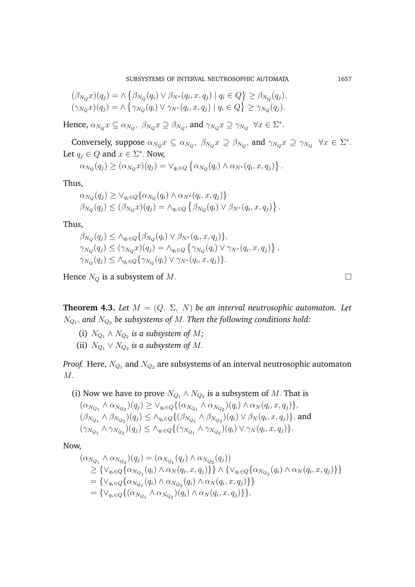SUBSYSTEMS OF INTERVAL NEUTROSOPHIC AUTOMATA 1657

$$
(\beta_{N_Q} x)(q_j) = \wedge \left\{ \beta_{N_Q}(q_i) \vee \beta_{N^*}(q_i, x, q_j) \mid q_i \in Q \right\} \ge \beta_{N_Q}(q_j),
$$
  

$$
(\gamma_{N_Q} x)(q_j) = \wedge \left\{ \gamma_{N_Q}(q_i) \vee \gamma_{N^*}(q_i, x, q_j) \mid q_i \in Q \right\} \ge \gamma_{N_Q}(q_j).
$$

Hence,  $\alpha_{N_Q} x \subseteq \alpha_{N_Q}, \ \beta_{N_Q} x \supseteq \beta_{N_Q},$  and  $\gamma_{N_Q} x \supseteq \gamma_{N_Q} \ \forall x \in \Sigma^*$ .

Conversely, suppose  $\alpha_{N_Q} x \subseteq \alpha_{N_Q}, \ \beta_{N_Q} x \supseteq \beta_{N_Q},$  and  $\gamma_{N_Q} x \supseteq \gamma_{N_Q} \ \forall x \in \Sigma^*$ . Let  $q_j \in Q$  and  $x \in \Sigma^*$ . Now,

$$
\alpha_{N_Q}(q_j) \geq (\alpha_{N_Q} x)(q_j) = \vee_{q_i \in Q} \left\{ \alpha_{N_Q}(q_i) \wedge \alpha_{N^*}(q_i, x, q_j) \right\}.
$$

Thus,

$$
\alpha_{N_Q}(q_j) \geq \vee_{q_i \in Q} \{ \alpha_{N_Q}(q_i) \wedge \alpha_{N^*}(q_i, x, q_j) \}
$$
  

$$
\beta_{N_Q}(q_j) \leq (\beta_{N_Q} x)(q_j) = \wedge_{q_i \in Q} \{ \beta_{N_Q}(q_i) \vee \beta_{N^*}(q_i, x, q_j) \}.
$$

Thus,

$$
\beta_{N_Q}(q_j) \leq \lambda_{q_i \in Q} \{ \beta_{N_Q}(q_i) \vee \beta_{N^*}(q_i, x, q_j) \},
$$
  
\n
$$
\gamma_{N_Q}(q_j) \leq (\gamma_{N_Q} x)(q_j) = \lambda_{q_i \in Q} \{ \gamma_{N_Q}(q_i) \vee \gamma_{N^*}(q_i, x, q_j) \},
$$
  
\n
$$
\gamma_{N_Q}(q_j) \leq \lambda_{q_i \in Q} \{ \gamma_{N_Q}(q_i) \vee \gamma_{N^*}(q_i, x, q_j) \}.
$$

Hence  $N_Q$  is a subsystem of M.

**Theorem 4.3.** Let  $M = (Q, \Sigma, N)$  be an interval neutrosophic automaton. Let  $N_{Q_1},$  and  $N_{Q_2}$  be subsystems of  $M.$  Then the following conditions hold:

- (i)  $N_{Q_1} \wedge N_{Q_2}$  is a subsystem of M;
- (ii)  $N_{Q_1} \vee N_{Q_2}$  is a subsystem of M.

*Proof.* Here,  $N_{Q_1}$  and  $N_{Q_2}$  are subsystems of an interval neutrosophic automaton M.

(i) Now we have to prove  $N_{Q_1} \wedge N_{Q_2}$  is a subsystem of M. That is  $(\alpha_{N_{Q_1}} \wedge \alpha_{N_{Q_2}})(q_j) \geq \vee_{q_i \in Q} \{ (\alpha_{N_{Q_1}} \wedge \alpha_{N_{Q_2}})(q_i) \wedge \alpha_{N}(q_i, x, q_j) \},\$  $(\beta_{N_{Q_1}} \wedge \beta_{N_{Q_2}})(q_j) \leq \wedge_{q_i \in Q} \{ (\beta_{N_{Q_1}} \wedge \beta_{N_{Q_2}})(q_i) \vee \beta_{N}(q_i, x, q_j) \},$  and  $(\gamma_{N_{Q_1}} \wedge \gamma_{N_{Q_2}})(q_j) \leq \wedge_{q_i \in Q} \{ (\gamma_{N_{Q_1}} \wedge \gamma_{N_{Q_2}})(q_i) \vee \gamma_N(q_i, x, q_j) \}.$ 

Now,

$$
(\alpha_{N_{Q_1}} \wedge \alpha_{N_{Q_2}})(q_j) = (\alpha_{N_{Q_1}}(q_j) \wedge \alpha_{N_{Q_2}}(q_j))
$$
  
\n
$$
\geq {\vee_{q_i \in Q} {\alpha_{N_{Q_1}}(q_i) \wedge \alpha_N(q_i, x, q_j)}} \wedge {\vee_{q_i \in Q} {\alpha_{N_{Q_2}}(q_i) \wedge \alpha_N(q_i, x, q_j)}} }
$$
  
\n
$$
= {\vee_{q_i \in Q} {\alpha_{N_{Q_1}}(q_i) \wedge \alpha_{N_{Q_2}}(q_i) \wedge \alpha_N(q_i, x, q_j) } }
$$
  
\n
$$
= {\vee_{q_i \in Q} {\alpha_{N_{Q_1}} \wedge \alpha_{N_{Q_2}}(q_i) \wedge \alpha_N(q_i, x, q_j) } },
$$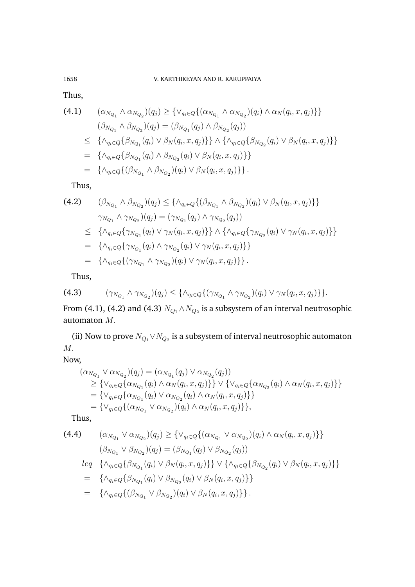## 1658 V. KARTHIKEYAN AND R. KARUPPAIYA

Thus,

(4.1) 
$$
(\alpha_{N_{Q_1}} \wedge \alpha_{N_{Q_2}})(q_j) \geq \{ \vee_{q_i \in Q} \{ (\alpha_{N_{Q_1}} \wedge \alpha_{N_{Q_2}})(q_i) \wedge \alpha_N(q_i, x, q_j) \} \} (\beta_{N_{Q_1}} \wedge \beta_{N_{Q_2}})(q_j) = (\beta_{N_{Q_1}}(q_j) \wedge \beta_{N_{Q_2}}(q_j)) \leq \{ \wedge_{q_i \in Q} \{ \beta_{N_{Q_1}}(q_i) \vee \beta_N(q_i, x, q_j) \} \} \wedge \{ \wedge_{q_i \in Q} \{ \beta_{N_{Q_2}}(q_i) \vee \beta_N(q_i, x, q_j) \} \} = \{ \wedge_{q_i \in Q} \{ \beta_{N_{Q_1}}(q_i) \wedge \beta_{N_{Q_2}}(q_i) \vee \beta_N(q_i, x, q_j) \} \} = \{ \wedge_{q_i \in Q} \{ (\beta_{N_{Q_1}} \wedge \beta_{N_{Q_2}})(q_i) \vee \beta_N(q_i, x, q_j) \} \}.
$$

Thus,

(4.2) 
$$
(\beta_{N_{Q_1}} \wedge \beta_{N_{Q_2}})(q_j) \leq {\{\Lambda_{q_i \in Q}\{(\beta_{N_{Q_1}} \wedge \beta_{N_{Q_2}})(q_i) \vee \beta_N(q_i, x, q_j)\}\}}\n\gamma_{N_{Q_1}} \wedge \gamma_{N_{Q_2}}(q_j) = (\gamma_{N_{Q_1}}(q_j) \wedge \gamma_{N_{Q_2}}(q_j))\n\leq {\{\Lambda_{q_i \in Q}\{ \gamma_{N_{Q_1}}(q_i) \vee \gamma_N(q_i, x, q_j)\}\}} \wedge {\{\Lambda_{q_i \in Q}\{ \gamma_{N_{Q_2}}(q_i) \vee \gamma_N(q_i, x, q_j)\}\}}\n= {\{\Lambda_{q_i \in Q}\{ \gamma_{N_{Q_1}}(q_i) \wedge \gamma_{N_{Q_2}}(q_i) \vee \gamma_N(q_i, x, q_j)\}\}}\n= {\{\Lambda_{q_i \in Q}\{ (\gamma_{N_{Q_1}} \wedge \gamma_{N_{Q_2}})(q_i) \vee \gamma_N(q_i, x, q_j)\}\}}.
$$

Thus,

$$
(4.3) \qquad (\gamma_{N_{Q_1}} \wedge \gamma_{N_{Q_2}})(q_j) \leq \{ \wedge_{q_i \in Q} \{ (\gamma_{N_{Q_1}} \wedge \gamma_{N_{Q_2}})(q_i) \vee \gamma_N(q_i, x, q_j) \} \}.
$$

From (4.1), (4.2) and (4.3)  $N_{Q_1} \wedge N_{Q_2}$  is a subsystem of an interval neutrosophic automaton M.

(ii) Now to prove  $N_{Q_1} \vee N_{Q_2}$  is a subsystem of interval neutrosophic automaton M.

Now,

$$
(\alpha_{N_{Q_1}} \vee \alpha_{N_{Q_2}})(q_j) = (\alpha_{N_{Q_1}}(q_j) \vee \alpha_{N_{Q_2}}(q_j))
$$
  
\n
$$
\geq {\vee_{q_i \in Q} {\alpha_{N_{Q_1}}(q_i) \wedge \alpha_N(q_i, x, q_j)}} \vee {\vee_{q_i \in Q} {\alpha_{N_{Q_2}}(q_i) \wedge \alpha_N(q_i, x, q_j)}} }
$$
  
\n
$$
= {\vee_{q_i \in Q} {\alpha_{N_{Q_1}}(q_i) \vee \alpha_{N_{Q_2}}(q_i) \wedge \alpha_N(q_i, x, q_j) } }
$$
  
\n
$$
= {\vee_{q_i \in Q} {\{\alpha_{N_{Q_1}} \vee \alpha_{N_{Q_2}})(q_i) \wedge \alpha_N(q_i, x, q_j) }\}},
$$

Thus,

(4.4) 
$$
(\alpha_{N_{Q_1}} \vee \alpha_{N_{Q_2}})(q_j) \geq \{ \vee_{q_i \in Q} \{ (\alpha_{N_{Q_1}} \vee \alpha_{N_{Q_2}})(q_i) \wedge \alpha_N(q_i, x, q_j) \} \}
$$

$$
(\beta_{N_{Q_1}} \vee \beta_{N_{Q_2}})(q_j) = (\beta_{N_{Q_1}}(q_j) \vee \beta_{N_{Q_2}}(q_j))
$$

$$
leq \{ \wedge_{q_i \in Q} \{ \beta_{N_{Q_1}}(q_i) \vee \beta_N(q_i, x, q_j) \} \} \vee \{ \wedge_{q_i \in Q} \{ \beta_{N_{Q_2}}(q_i) \vee \beta_N(q_i, x, q_j) \} \}
$$

$$
= \{ \wedge_{q_i \in Q} \{ \beta_{N_{Q_1}}(q_i) \vee \beta_{N_{Q_2}}(q_i) \vee \beta_N(q_i, x, q_j) \} \}
$$

=  $\{\wedge_{q_i \in Q} \{(\beta_{N_{Q_1}} \vee \beta_{N_{Q_2}})(q_i) \vee \beta_N(q_i, x, q_j)\}\}.$